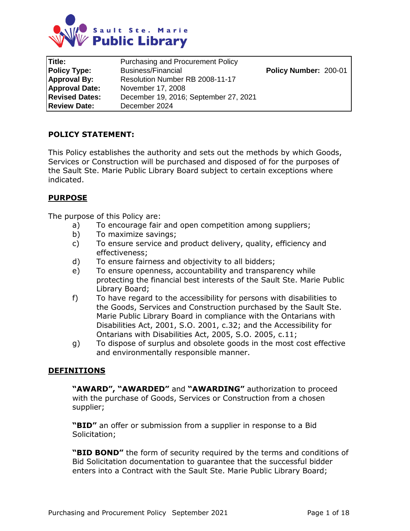

| Title:                | <b>Purchasing and Procurement Policy</b> |                       |
|-----------------------|------------------------------------------|-----------------------|
| <b>Policy Type:</b>   | <b>Business/Financial</b>                | Policy Number: 200-01 |
| <b>Approval By:</b>   | Resolution Number RB 2008-11-17          |                       |
| <b>Approval Date:</b> | November 17, 2008                        |                       |
| <b>Revised Dates:</b> | December 19, 2016; September 27, 2021    |                       |
| <b>Review Date:</b>   | December 2024                            |                       |

#### **POLICY STATEMENT:**

This Policy establishes the authority and sets out the methods by which Goods, Services or Construction will be purchased and disposed of for the purposes of the Sault Ste. Marie Public Library Board subject to certain exceptions where indicated.

#### **PURPOSE**

The purpose of this Policy are:

- a) To encourage fair and open competition among suppliers;
- b) To maximize savings;
- c) To ensure service and product delivery, quality, efficiency and effectiveness;
- d) To ensure fairness and objectivity to all bidders;
- e) To ensure openness, accountability and transparency while protecting the financial best interests of the Sault Ste. Marie Public Library Board;
- f) To have regard to the accessibility for persons with disabilities to the Goods, Services and Construction purchased by the Sault Ste. Marie Public Library Board in compliance with the Ontarians with Disabilities Act, 2001, S.O. 2001, c.32; and the Accessibility for Ontarians with Disabilities Act, 2005, S.O. 2005, c.11;
- g) To dispose of surplus and obsolete goods in the most cost effective and environmentally responsible manner.

#### **DEFINITIONS**

**"AWARD", "AWARDED"** and **"AWARDING"** authorization to proceed with the purchase of Goods, Services or Construction from a chosen supplier;

**"BID"** an offer or submission from a supplier in response to a Bid Solicitation;

**"BID BOND"** the form of security required by the terms and conditions of Bid Solicitation documentation to guarantee that the successful bidder enters into a Contract with the Sault Ste. Marie Public Library Board;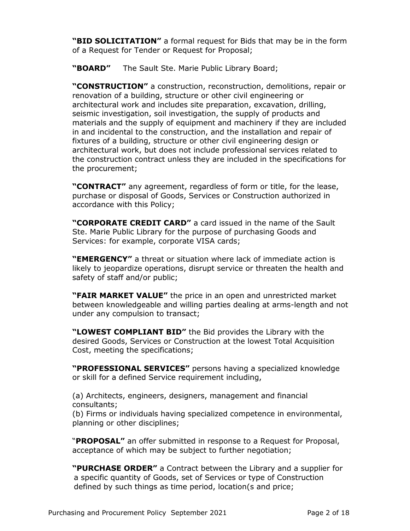**"BID SOLICITATION"** a formal request for Bids that may be in the form of a Request for Tender or Request for Proposal;

**"BOARD"** The Sault Ste. Marie Public Library Board;

**"CONSTRUCTION"** a construction, reconstruction, demolitions, repair or renovation of a building, structure or other civil engineering or architectural work and includes site preparation, excavation, drilling, seismic investigation, soil investigation, the supply of products and materials and the supply of equipment and machinery if they are included in and incidental to the construction, and the installation and repair of fixtures of a building, structure or other civil engineering design or architectural work, but does not include professional services related to the construction contract unless they are included in the specifications for the procurement;

**"CONTRACT"** any agreement, regardless of form or title, for the lease, purchase or disposal of Goods, Services or Construction authorized in accordance with this Policy;

**"CORPORATE CREDIT CARD"** a card issued in the name of the Sault Ste. Marie Public Library for the purpose of purchasing Goods and Services: for example, corporate VISA cards;

**"EMERGENCY"** a threat or situation where lack of immediate action is likely to jeopardize operations, disrupt service or threaten the health and safety of staff and/or public;

**"FAIR MARKET VALUE"** the price in an open and unrestricted market between knowledgeable and willing parties dealing at arms-length and not under any compulsion to transact;

**"LOWEST COMPLIANT BID"** the Bid provides the Library with the desired Goods, Services or Construction at the lowest Total Acquisition Cost, meeting the specifications;

**"PROFESSIONAL SERVICES"** persons having a specialized knowledge or skill for a defined Service requirement including,

(a) Architects, engineers, designers, management and financial consultants;

(b) Firms or individuals having specialized competence in environmental, planning or other disciplines;

"**PROPOSAL"** an offer submitted in response to a Request for Proposal, acceptance of which may be subject to further negotiation;

**"PURCHASE ORDER"** a Contract between the Library and a supplier for a specific quantity of Goods, set of Services or type of Construction defined by such things as time period, location(s and price;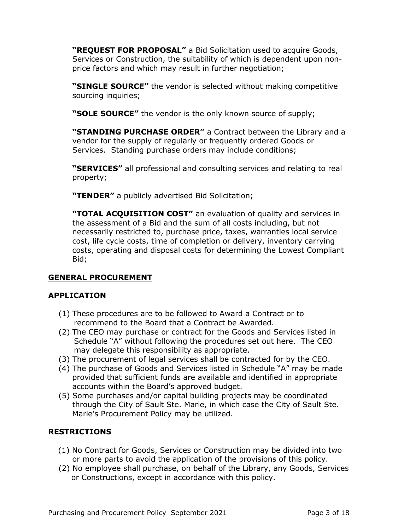**"REQUEST FOR PROPOSAL"** a Bid Solicitation used to acquire Goods, Services or Construction, the suitability of which is dependent upon nonprice factors and which may result in further negotiation;

**"SINGLE SOURCE"** the vendor is selected without making competitive sourcing inquiries;

**"SOLE SOURCE"** the vendor is the only known source of supply;

**"STANDING PURCHASE ORDER"** a Contract between the Library and a vendor for the supply of regularly or frequently ordered Goods or Services. Standing purchase orders may include conditions;

**"SERVICES"** all professional and consulting services and relating to real property;

**"TENDER"** a publicly advertised Bid Solicitation;

**"TOTAL ACQUISITION COST"** an evaluation of quality and services in the assessment of a Bid and the sum of all costs including, but not necessarily restricted to, purchase price, taxes, warranties local service cost, life cycle costs, time of completion or delivery, inventory carrying costs, operating and disposal costs for determining the Lowest Compliant Bid;

### **GENERAL PROCUREMENT**

#### **APPLICATION**

- (1) These procedures are to be followed to Award a Contract or to recommend to the Board that a Contract be Awarded.
- (2) The CEO may purchase or contract for the Goods and Services listed in Schedule "A" without following the procedures set out here. The CEO may delegate this responsibility as appropriate.
- (3) The procurement of legal services shall be contracted for by the CEO.
- (4) The purchase of Goods and Services listed in Schedule "A" may be made provided that sufficient funds are available and identified in appropriate accounts within the Board's approved budget.
- (5) Some purchases and/or capital building projects may be coordinated through the City of Sault Ste. Marie, in which case the City of Sault Ste. Marie's Procurement Policy may be utilized.

### **RESTRICTIONS**

- (1) No Contract for Goods, Services or Construction may be divided into two or more parts to avoid the application of the provisions of this policy.
- (2) No employee shall purchase, on behalf of the Library, any Goods, Services or Constructions, except in accordance with this policy.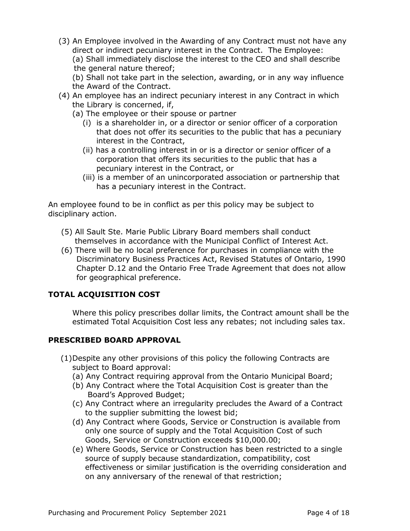(3) An Employee involved in the Awarding of any Contract must not have any direct or indirect pecuniary interest in the Contract. The Employee: (a) Shall immediately disclose the interest to the CEO and shall describe the general nature thereof;

(b) Shall not take part in the selection, awarding, or in any way influence the Award of the Contract.

- (4) An employee has an indirect pecuniary interest in any Contract in which the Library is concerned, if,
	- (a) The employee or their spouse or partner
		- (i) is a shareholder in, or a director or senior officer of a corporation that does not offer its securities to the public that has a pecuniary interest in the Contract,
		- (ii) has a controlling interest in or is a director or senior officer of a corporation that offers its securities to the public that has a pecuniary interest in the Contract, or
		- (iii) is a member of an unincorporated association or partnership that has a pecuniary interest in the Contract.

An employee found to be in conflict as per this policy may be subject to disciplinary action.

- (5) All Sault Ste. Marie Public Library Board members shall conduct themselves in accordance with the Municipal Conflict of Interest Act.
- (6) There will be no local preference for purchases in compliance with the Discriminatory Business Practices Act, Revised Statutes of Ontario, 1990 Chapter D.12 and the Ontario Free Trade Agreement that does not allow for geographical preference.

## **TOTAL ACQUISITION COST**

Where this policy prescribes dollar limits, the Contract amount shall be the estimated Total Acquisition Cost less any rebates; not including sales tax.

### **PRESCRIBED BOARD APPROVAL**

- (1)Despite any other provisions of this policy the following Contracts are subject to Board approval:
	- (a) Any Contract requiring approval from the Ontario Municipal Board;
	- (b) Any Contract where the Total Acquisition Cost is greater than the Board's Approved Budget;
	- (c) Any Contract where an irregularity precludes the Award of a Contract to the supplier submitting the lowest bid;
	- (d) Any Contract where Goods, Service or Construction is available from only one source of supply and the Total Acquisition Cost of such Goods, Service or Construction exceeds \$10,000.00;
	- (e) Where Goods, Service or Construction has been restricted to a single source of supply because standardization, compatibility, cost effectiveness or similar justification is the overriding consideration and on any anniversary of the renewal of that restriction;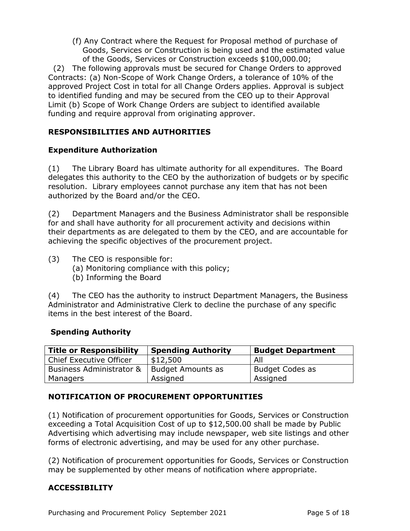(f) Any Contract where the Request for Proposal method of purchase of Goods, Services or Construction is being used and the estimated value of the Goods, Services or Construction exceeds \$100,000.00;

(2) The following approvals must be secured for Change Orders to approved Contracts: (a) Non-Scope of Work Change Orders, a tolerance of 10% of the approved Project Cost in total for all Change Orders applies. Approval is subject to identified funding and may be secured from the CEO up to their Approval Limit (b) Scope of Work Change Orders are subject to identified available funding and require approval from originating approver.

### **RESPONSIBILITIES AND AUTHORITIES**

### **Expenditure Authorization**

(1) The Library Board has ultimate authority for all expenditures. The Board delegates this authority to the CEO by the authorization of budgets or by specific resolution. Library employees cannot purchase any item that has not been authorized by the Board and/or the CEO.

(2) Department Managers and the Business Administrator shall be responsible for and shall have authority for all procurement activity and decisions within their departments as are delegated to them by the CEO, and are accountable for achieving the specific objectives of the procurement project.

- (3) The CEO is responsible for:
	- (a) Monitoring compliance with this policy;
	- (b) Informing the Board

(4) The CEO has the authority to instruct Department Managers, the Business Administrator and Administrative Clerk to decline the purchase of any specific items in the best interest of the Board.

#### **Spending Authority**

| <b>Title or Responsibility</b>      | <b>Spending Authority</b> | <b>Budget Department</b> |
|-------------------------------------|---------------------------|--------------------------|
| <b>Chief Executive Officer</b>      | \$12,500                  | All                      |
| <b>Business Administrator &amp;</b> | Budget Amounts as         | <b>Budget Codes as</b>   |
| Managers                            | Assigned                  | Assigned                 |

### **NOTIFICATION OF PROCUREMENT OPPORTUNITIES**

(1) Notification of procurement opportunities for Goods, Services or Construction exceeding a Total Acquisition Cost of up to \$12,500.00 shall be made by Public Advertising which advertising may include newspaper, web site listings and other forms of electronic advertising, and may be used for any other purchase.

(2) Notification of procurement opportunities for Goods, Services or Construction may be supplemented by other means of notification where appropriate.

### **ACCESSIBILITY**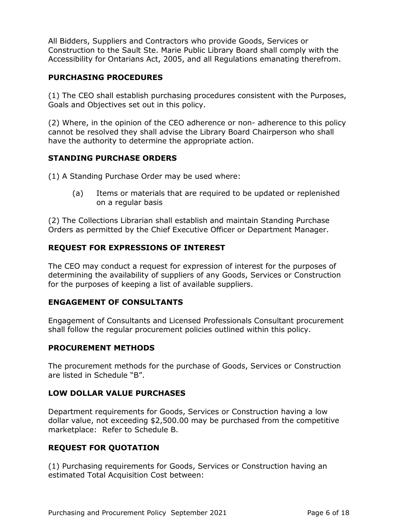All Bidders, Suppliers and Contractors who provide Goods, Services or Construction to the Sault Ste. Marie Public Library Board shall comply with the Accessibility for Ontarians Act, 2005, and all Regulations emanating therefrom.

#### **PURCHASING PROCEDURES**

(1) The CEO shall establish purchasing procedures consistent with the Purposes, Goals and Objectives set out in this policy.

(2) Where, in the opinion of the CEO adherence or non- adherence to this policy cannot be resolved they shall advise the Library Board Chairperson who shall have the authority to determine the appropriate action.

#### **STANDING PURCHASE ORDERS**

(1) A Standing Purchase Order may be used where:

(a) Items or materials that are required to be updated or replenished on a regular basis

(2) The Collections Librarian shall establish and maintain Standing Purchase Orders as permitted by the Chief Executive Officer or Department Manager.

### **REQUEST FOR EXPRESSIONS OF INTEREST**

The CEO may conduct a request for expression of interest for the purposes of determining the availability of suppliers of any Goods, Services or Construction for the purposes of keeping a list of available suppliers.

#### **ENGAGEMENT OF CONSULTANTS**

Engagement of Consultants and Licensed Professionals Consultant procurement shall follow the regular procurement policies outlined within this policy.

#### **PROCUREMENT METHODS**

The procurement methods for the purchase of Goods, Services or Construction are listed in Schedule "B".

#### **LOW DOLLAR VALUE PURCHASES**

Department requirements for Goods, Services or Construction having a low dollar value, not exceeding \$2,500.00 may be purchased from the competitive marketplace: Refer to Schedule B.

#### **REQUEST FOR QUOTATION**

(1) Purchasing requirements for Goods, Services or Construction having an estimated Total Acquisition Cost between: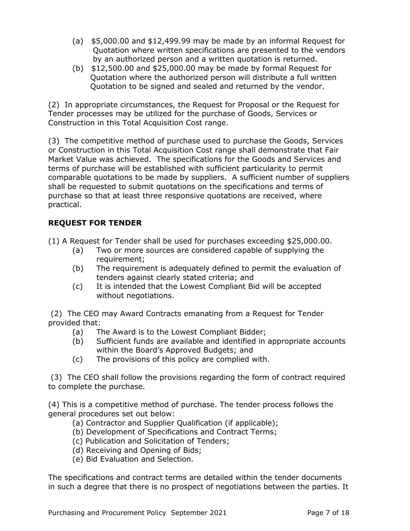- (a) \$5,000.00 and \$12,499.99 may be made by an informal Request for Quotation where written specifications are presented to the vendors by an authorized person and a written quotation is returned.
- (b) \$12,500.00 and \$25,000.00 may be made by formal Request for Quotation where the authorized person will distribute a full written Quotation to be signed and sealed and returned by the vendor.

(2) In appropriate circumstances, the Request for Proposal or the Request for Tender processes may be utilized for the purchase of Goods, Services or Construction in this Total Acquisition Cost range.

(3) The competitive method of purchase used to purchase the Goods, Services or Construction in this Total Acquisition Cost range shall demonstrate that Fair Market Value was achieved. The specifications for the Goods and Services and terms of purchase will be established with sufficient particularity to permit comparable quotations to be made by suppliers. A sufficient number of suppliers shall be requested to submit quotations on the specifications and terms of purchase so that at least three responsive quotations are received, where practical.

# **REQUEST FOR TENDER**

(1) A Request for Tender shall be used for purchases exceeding \$25,000.00.

- (a) Two or more sources are considered capable of supplying the requirement;
- (b) The requirement is adequately defined to permit the evaluation of tenders against clearly stated criteria; and
- (c) It is intended that the Lowest Compliant Bid will be accepted without negotiations.

(2) The CEO may Award Contracts emanating from a Request for Tender provided that:

- (a) The Award is to the Lowest Compliant Bidder;
- (b) Sufficient funds are available and identified in appropriate accounts within the Board's Approved Budgets; and
- (c) The provisions of this policy are complied with.

(3) The CEO shall follow the provisions regarding the form of contract required to complete the purchase.

(4) This is a competitive method of purchase. The tender process follows the general procedures set out below:

- (a) Contractor and Supplier Qualification (if applicable);
- (b) Development of Specifications and Contract Terms;
- (c) Publication and Solicitation of Tenders;
- (d) Receiving and Opening of Bids;
- (e) Bid Evaluation and Selection.

The specifications and contract terms are detailed within the tender documents in such a degree that there is no prospect of negotiations between the parties. It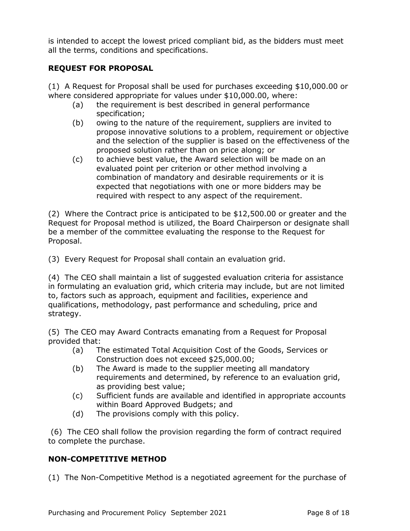is intended to accept the lowest priced compliant bid, as the bidders must meet all the terms, conditions and specifications.

### **REQUEST FOR PROPOSAL**

(1) A Request for Proposal shall be used for purchases exceeding \$10,000.00 or where considered appropriate for values under \$10,000.00, where:

- (a) the requirement is best described in general performance specification;
- (b) owing to the nature of the requirement, suppliers are invited to propose innovative solutions to a problem, requirement or objective and the selection of the supplier is based on the effectiveness of the proposed solution rather than on price along; or
- (c) to achieve best value, the Award selection will be made on an evaluated point per criterion or other method involving a combination of mandatory and desirable requirements or it is expected that negotiations with one or more bidders may be required with respect to any aspect of the requirement.

(2) Where the Contract price is anticipated to be \$12,500.00 or greater and the Request for Proposal method is utilized, the Board Chairperson or designate shall be a member of the committee evaluating the response to the Request for Proposal.

(3) Every Request for Proposal shall contain an evaluation grid.

(4) The CEO shall maintain a list of suggested evaluation criteria for assistance in formulating an evaluation grid, which criteria may include, but are not limited to, factors such as approach, equipment and facilities, experience and qualifications, methodology, past performance and scheduling, price and strategy.

(5) The CEO may Award Contracts emanating from a Request for Proposal provided that:

- (a) The estimated Total Acquisition Cost of the Goods, Services or Construction does not exceed \$25,000.00;
- (b) The Award is made to the supplier meeting all mandatory requirements and determined, by reference to an evaluation grid, as providing best value;
- (c) Sufficient funds are available and identified in appropriate accounts within Board Approved Budgets; and
- (d) The provisions comply with this policy.

(6) The CEO shall follow the provision regarding the form of contract required to complete the purchase.

## **NON-COMPETITIVE METHOD**

(1) The Non-Competitive Method is a negotiated agreement for the purchase of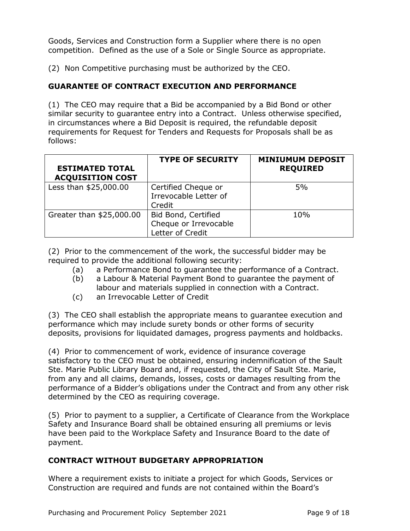Goods, Services and Construction form a Supplier where there is no open competition. Defined as the use of a Sole or Single Source as appropriate.

(2) Non Competitive purchasing must be authorized by the CEO.

## **GUARANTEE OF CONTRACT EXECUTION AND PERFORMANCE**

(1) The CEO may require that a Bid be accompanied by a Bid Bond or other similar security to guarantee entry into a Contract. Unless otherwise specified, in circumstances where a Bid Deposit is required, the refundable deposit requirements for Request for Tenders and Requests for Proposals shall be as follows:

| <b>ESTIMATED TOTAL</b><br><b>ACQUISITION COST</b> | <b>TYPE OF SECURITY</b>                                          | <b>MINIUMUM DEPOSIT</b><br><b>REQUIRED</b> |
|---------------------------------------------------|------------------------------------------------------------------|--------------------------------------------|
| Less than \$25,000.00                             | Certified Cheque or<br>Irrevocable Letter of<br>Credit           | 5%                                         |
| Greater than \$25,000.00                          | Bid Bond, Certified<br>Cheque or Irrevocable<br>Letter of Credit | 10%                                        |

(2) Prior to the commencement of the work, the successful bidder may be required to provide the additional following security:

- (a) a Performance Bond to guarantee the performance of a Contract.
- (b) a Labour & Material Payment Bond to guarantee the payment of labour and materials supplied in connection with a Contract.
- (c) an Irrevocable Letter of Credit

(3) The CEO shall establish the appropriate means to guarantee execution and performance which may include surety bonds or other forms of security deposits, provisions for liquidated damages, progress payments and holdbacks.

(4) Prior to commencement of work, evidence of insurance coverage satisfactory to the CEO must be obtained, ensuring indemnification of the Sault Ste. Marie Public Library Board and, if requested, the City of Sault Ste. Marie, from any and all claims, demands, losses, costs or damages resulting from the performance of a Bidder's obligations under the Contract and from any other risk determined by the CEO as requiring coverage.

(5) Prior to payment to a supplier, a Certificate of Clearance from the Workplace Safety and Insurance Board shall be obtained ensuring all premiums or levis have been paid to the Workplace Safety and Insurance Board to the date of payment.

### **CONTRACT WITHOUT BUDGETARY APPROPRIATION**

Where a requirement exists to initiate a project for which Goods, Services or Construction are required and funds are not contained within the Board's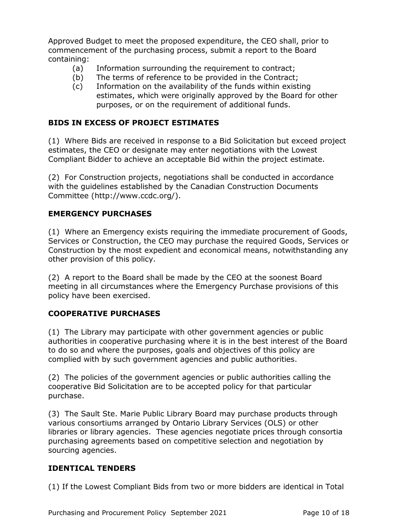Approved Budget to meet the proposed expenditure, the CEO shall, prior to commencement of the purchasing process, submit a report to the Board containing:

- (a) Information surrounding the requirement to contract;
- (b) The terms of reference to be provided in the Contract;
- (c) Information on the availability of the funds within existing estimates, which were originally approved by the Board for other purposes, or on the requirement of additional funds.

### **BIDS IN EXCESS OF PROJECT ESTIMATES**

(1) Where Bids are received in response to a Bid Solicitation but exceed project estimates, the CEO or designate may enter negotiations with the Lowest Compliant Bidder to achieve an acceptable Bid within the project estimate.

(2) For Construction projects, negotiations shall be conducted in accordance with the guidelines established by the Canadian Construction Documents Committee (http://www.ccdc.org/).

### **EMERGENCY PURCHASES**

(1) Where an Emergency exists requiring the immediate procurement of Goods, Services or Construction, the CEO may purchase the required Goods, Services or Construction by the most expedient and economical means, notwithstanding any other provision of this policy.

(2) A report to the Board shall be made by the CEO at the soonest Board meeting in all circumstances where the Emergency Purchase provisions of this policy have been exercised.

## **COOPERATIVE PURCHASES**

(1) The Library may participate with other government agencies or public authorities in cooperative purchasing where it is in the best interest of the Board to do so and where the purposes, goals and objectives of this policy are complied with by such government agencies and public authorities.

(2) The policies of the government agencies or public authorities calling the cooperative Bid Solicitation are to be accepted policy for that particular purchase.

(3) The Sault Ste. Marie Public Library Board may purchase products through various consortiums arranged by Ontario Library Services (OLS) or other libraries or library agencies. These agencies negotiate prices through consortia purchasing agreements based on competitive selection and negotiation by sourcing agencies.

### **IDENTICAL TENDERS**

(1) If the Lowest Compliant Bids from two or more bidders are identical in Total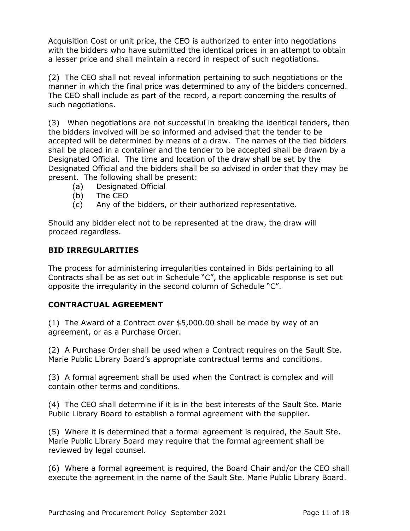Acquisition Cost or unit price, the CEO is authorized to enter into negotiations with the bidders who have submitted the identical prices in an attempt to obtain a lesser price and shall maintain a record in respect of such negotiations.

(2) The CEO shall not reveal information pertaining to such negotiations or the manner in which the final price was determined to any of the bidders concerned. The CEO shall include as part of the record, a report concerning the results of such negotiations.

(3) When negotiations are not successful in breaking the identical tenders, then the bidders involved will be so informed and advised that the tender to be accepted will be determined by means of a draw. The names of the tied bidders shall be placed in a container and the tender to be accepted shall be drawn by a Designated Official. The time and location of the draw shall be set by the Designated Official and the bidders shall be so advised in order that they may be present. The following shall be present:

- (a) Designated Official
- (b) The CEO
- (c) Any of the bidders, or their authorized representative.

Should any bidder elect not to be represented at the draw, the draw will proceed regardless.

### **BID IRREGULARITIES**

The process for administering irregularities contained in Bids pertaining to all Contracts shall be as set out in Schedule "C", the applicable response is set out opposite the irregularity in the second column of Schedule "C".

### **CONTRACTUAL AGREEMENT**

(1) The Award of a Contract over \$5,000.00 shall be made by way of an agreement, or as a Purchase Order.

(2) A Purchase Order shall be used when a Contract requires on the Sault Ste. Marie Public Library Board's appropriate contractual terms and conditions.

(3) A formal agreement shall be used when the Contract is complex and will contain other terms and conditions.

(4) The CEO shall determine if it is in the best interests of the Sault Ste. Marie Public Library Board to establish a formal agreement with the supplier.

(5) Where it is determined that a formal agreement is required, the Sault Ste. Marie Public Library Board may require that the formal agreement shall be reviewed by legal counsel.

(6) Where a formal agreement is required, the Board Chair and/or the CEO shall execute the agreement in the name of the Sault Ste. Marie Public Library Board.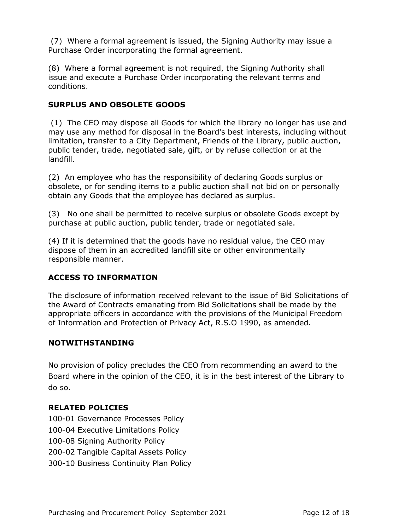(7) Where a formal agreement is issued, the Signing Authority may issue a Purchase Order incorporating the formal agreement.

(8) Where a formal agreement is not required, the Signing Authority shall issue and execute a Purchase Order incorporating the relevant terms and conditions.

### **SURPLUS AND OBSOLETE GOODS**

(1) The CEO may dispose all Goods for which the library no longer has use and may use any method for disposal in the Board's best interests, including without limitation, transfer to a City Department, Friends of the Library, public auction, public tender, trade, negotiated sale, gift, or by refuse collection or at the landfill.

(2) An employee who has the responsibility of declaring Goods surplus or obsolete, or for sending items to a public auction shall not bid on or personally obtain any Goods that the employee has declared as surplus.

(3) No one shall be permitted to receive surplus or obsolete Goods except by purchase at public auction, public tender, trade or negotiated sale.

(4) If it is determined that the goods have no residual value, the CEO may dispose of them in an accredited landfill site or other environmentally responsible manner.

## **ACCESS TO INFORMATION**

The disclosure of information received relevant to the issue of Bid Solicitations of the Award of Contracts emanating from Bid Solicitations shall be made by the appropriate officers in accordance with the provisions of the Municipal Freedom of Information and Protection of Privacy Act, R.S.O 1990, as amended.

### **NOTWITHSTANDING**

No provision of policy precludes the CEO from recommending an award to the Board where in the opinion of the CEO, it is in the best interest of the Library to do so.

## **RELATED POLICIES**

- 100-01 Governance Processes Policy
- 100-04 Executive Limitations Policy
- 100-08 Signing Authority Policy
- 200-02 Tangible Capital Assets Policy
- 300-10 Business Continuity Plan Policy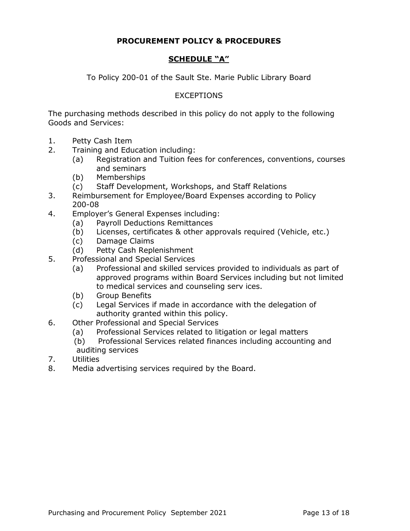### **PROCUREMENT POLICY & PROCEDURES**

### **SCHEDULE "A"**

To Policy 200-01 of the Sault Ste. Marie Public Library Board

#### **EXCEPTIONS**

The purchasing methods described in this policy do not apply to the following Goods and Services:

- 1. Petty Cash Item
- 2. Training and Education including:
	- (a) Registration and Tuition fees for conferences, conventions, courses and seminars
	- (b) Memberships
	- (c) Staff Development, Workshops, and Staff Relations
- 3. Reimbursement for Employee/Board Expenses according to Policy 200-08
- 4. Employer's General Expenses including:
	- (a) Payroll Deductions Remittances
	- (b) Licenses, certificates & other approvals required (Vehicle, etc.)
	- (c) Damage Claims
	- (d) Petty Cash Replenishment
- 5. Professional and Special Services
	- (a) Professional and skilled services provided to individuals as part of approved programs within Board Services including but not limited to medical services and counseling serv ices.
	- (b) Group Benefits
	- (c) Legal Services if made in accordance with the delegation of authority granted within this policy.
- 6. Other Professional and Special Services
	- (a) Professional Services related to litigation or legal matters
	- (b) Professional Services related finances including accounting and auditing services
- 7. Utilities
- 8. Media advertising services required by the Board.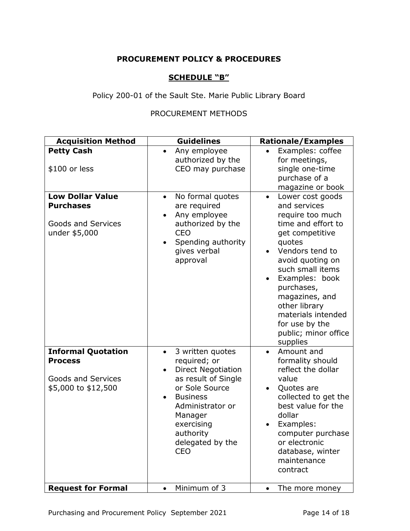### **PROCUREMENT POLICY & PROCEDURES**

## **SCHEDULE "B"**

Policy 200-01 of the Sault Ste. Marie Public Library Board

## PROCUREMENT METHODS

| <b>Acquisition Method</b>                                                                       | <b>Guidelines</b>                                                                                                                                                                                                                               | <b>Rationale/Examples</b>                                                                                                                                                                                                                                                                                                      |
|-------------------------------------------------------------------------------------------------|-------------------------------------------------------------------------------------------------------------------------------------------------------------------------------------------------------------------------------------------------|--------------------------------------------------------------------------------------------------------------------------------------------------------------------------------------------------------------------------------------------------------------------------------------------------------------------------------|
| <b>Petty Cash</b><br>\$100 or less                                                              | Any employee<br>authorized by the<br>CEO may purchase                                                                                                                                                                                           | Examples: coffee<br>for meetings,<br>single one-time<br>purchase of a<br>magazine or book                                                                                                                                                                                                                                      |
| <b>Low Dollar Value</b><br><b>Purchases</b><br><b>Goods and Services</b><br>under \$5,000       | No formal quotes<br>$\bullet$<br>are required<br>Any employee<br>authorized by the<br><b>CEO</b><br>Spending authority<br>gives verbal<br>approval                                                                                              | Lower cost goods<br>$\bullet$<br>and services<br>require too much<br>time and effort to<br>get competitive<br>quotes<br>Vendors tend to<br>avoid quoting on<br>such small items<br>Examples: book<br>purchases,<br>magazines, and<br>other library<br>materials intended<br>for use by the<br>public; minor office<br>supplies |
| <b>Informal Quotation</b><br><b>Process</b><br><b>Goods and Services</b><br>\$5,000 to \$12,500 | 3 written quotes<br>$\bullet$<br>required; or<br><b>Direct Negotiation</b><br>$\bullet$<br>as result of Single<br>or Sole Source<br><b>Business</b><br>Administrator or<br>Manager<br>exercising<br>authority<br>delegated by the<br><b>CEO</b> | Amount and<br>formality should<br>reflect the dollar<br>value<br>Quotes are<br>collected to get the<br>best value for the<br>dollar<br>Examples:<br>computer purchase<br>or electronic<br>database, winter<br>maintenance<br>contract                                                                                          |
| <b>Request for Formal</b>                                                                       | Minimum of 3<br>$\bullet$                                                                                                                                                                                                                       | The more money<br>$\bullet$                                                                                                                                                                                                                                                                                                    |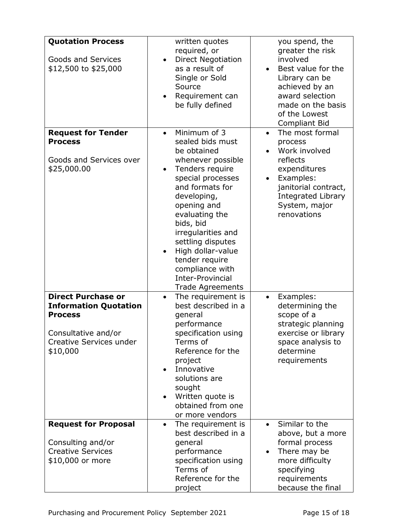| <b>Quotation Process</b><br><b>Goods and Services</b><br>\$12,500 to \$25,000                                                             | written quotes<br>required, or<br><b>Direct Negotiation</b><br>as a result of<br>Single or Sold<br>Source<br>Requirement can<br>be fully defined                                                                                                                                                                                                                                        | you spend, the<br>greater the risk<br>involved<br>Best value for the<br>$\bullet$<br>Library can be<br>achieved by an<br>award selection<br>made on the basis<br>of the Lowest<br><b>Compliant Bid</b> |
|-------------------------------------------------------------------------------------------------------------------------------------------|-----------------------------------------------------------------------------------------------------------------------------------------------------------------------------------------------------------------------------------------------------------------------------------------------------------------------------------------------------------------------------------------|--------------------------------------------------------------------------------------------------------------------------------------------------------------------------------------------------------|
| <b>Request for Tender</b><br><b>Process</b><br>Goods and Services over<br>\$25,000.00                                                     | Minimum of 3<br>$\bullet$<br>sealed bids must<br>be obtained<br>whenever possible<br>Tenders require<br>$\bullet$<br>special processes<br>and formats for<br>developing,<br>opening and<br>evaluating the<br>bids, bid<br>irregularities and<br>settling disputes<br>High dollar-value<br>$\bullet$<br>tender require<br>compliance with<br>Inter-Provincial<br><b>Trade Agreements</b> | The most formal<br>$\bullet$<br>process<br>Work involved<br>reflects<br>expenditures<br>Examples:<br>$\bullet$<br>janitorial contract,<br><b>Integrated Library</b><br>System, major<br>renovations    |
| <b>Direct Purchase or</b><br><b>Information Quotation</b><br><b>Process</b><br>Consultative and/or<br>Creative Services under<br>\$10,000 | The requirement is<br>$\bullet$<br>best described in a<br>general<br>performance<br>specification using<br>Terms of<br>Reference for the<br>project<br>Innovative<br>$\bullet$<br>solutions are<br>sought<br>Written quote is<br>obtained from one<br>or more vendors                                                                                                                   | Examples:<br>determining the<br>scope of a<br>strategic planning<br>exercise or library<br>space analysis to<br>determine<br>requirements                                                              |
| <b>Request for Proposal</b><br>Consulting and/or<br><b>Creative Services</b><br>\$10,000 or more                                          | The requirement is<br>$\bullet$<br>best described in a<br>general<br>performance<br>specification using<br>Terms of<br>Reference for the<br>project                                                                                                                                                                                                                                     | Similar to the<br>above, but a more<br>formal process<br>There may be<br>$\bullet$<br>more difficulty<br>specifying<br>requirements<br>because the final                                               |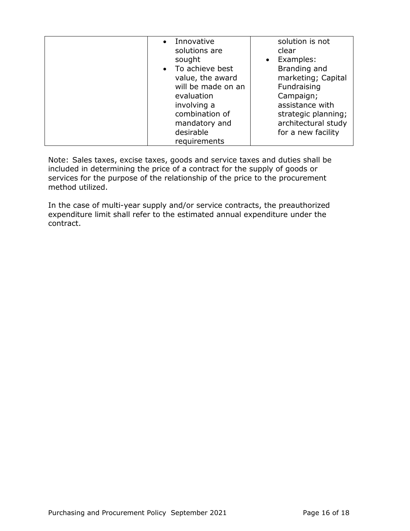| • Innovative<br>solutions are<br>sought<br>• To achieve best<br>value, the award<br>will be made on an<br>evaluation<br>involving a<br>combination of<br>mandatory and<br>desirable | solution is not<br>clear<br>Examples:<br>$\bullet$<br>Branding and<br>marketing; Capital<br>Fundraising<br>Campaign;<br>assistance with<br>strategic planning;<br>architectural study<br>for a new facility |
|-------------------------------------------------------------------------------------------------------------------------------------------------------------------------------------|-------------------------------------------------------------------------------------------------------------------------------------------------------------------------------------------------------------|
| requirements                                                                                                                                                                        |                                                                                                                                                                                                             |

Note: Sales taxes, excise taxes, goods and service taxes and duties shall be included in determining the price of a contract for the supply of goods or services for the purpose of the relationship of the price to the procurement method utilized.

In the case of multi-year supply and/or service contracts, the preauthorized expenditure limit shall refer to the estimated annual expenditure under the contract.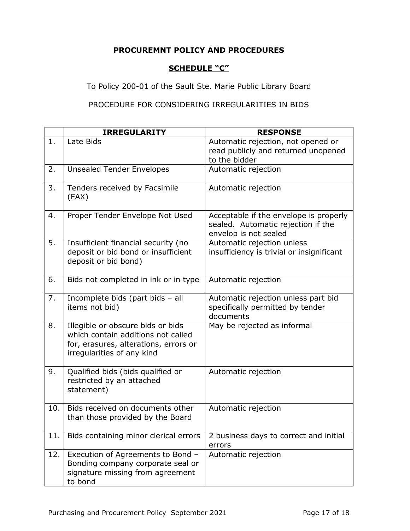### **PROCUREMNT POLICY AND PROCEDURES**

# **SCHEDULE "C"**

To Policy 200-01 of the Sault Ste. Marie Public Library Board

## PROCEDURE FOR CONSIDERING IRREGULARITIES IN BIDS

|     | <b>IRREGULARITY</b>                                                                                                                            | <b>RESPONSE</b>                                                                                       |
|-----|------------------------------------------------------------------------------------------------------------------------------------------------|-------------------------------------------------------------------------------------------------------|
| 1.  | Late Bids                                                                                                                                      | Automatic rejection, not opened or<br>read publicly and returned unopened<br>to the bidder            |
| 2.  | <b>Unsealed Tender Envelopes</b>                                                                                                               | Automatic rejection                                                                                   |
| 3.  | Tenders received by Facsimile<br>(FAX)                                                                                                         | Automatic rejection                                                                                   |
| 4.  | Proper Tender Envelope Not Used                                                                                                                | Acceptable if the envelope is properly<br>sealed. Automatic rejection if the<br>envelop is not sealed |
| 5.  | Insufficient financial security (no<br>deposit or bid bond or insufficient<br>deposit or bid bond)                                             | Automatic rejection unless<br>insufficiency is trivial or insignificant                               |
| 6.  | Bids not completed in ink or in type                                                                                                           | Automatic rejection                                                                                   |
| 7.  | Incomplete bids (part bids - all<br>items not bid)                                                                                             | Automatic rejection unless part bid<br>specifically permitted by tender<br>documents                  |
| 8.  | Illegible or obscure bids or bids<br>which contain additions not called<br>for, erasures, alterations, errors or<br>irregularities of any kind | May be rejected as informal                                                                           |
| 9.  | Qualified bids (bids qualified or<br>restricted by an attached<br>statement)                                                                   | Automatic rejection                                                                                   |
| 10. | Bids received on documents other<br>than those provided by the Board                                                                           | Automatic rejection                                                                                   |
| 11. | Bids containing minor clerical errors                                                                                                          | 2 business days to correct and initial<br>errors                                                      |
| 12. | Execution of Agreements to Bond -<br>Bonding company corporate seal or<br>signature missing from agreement<br>to bond                          | Automatic rejection                                                                                   |